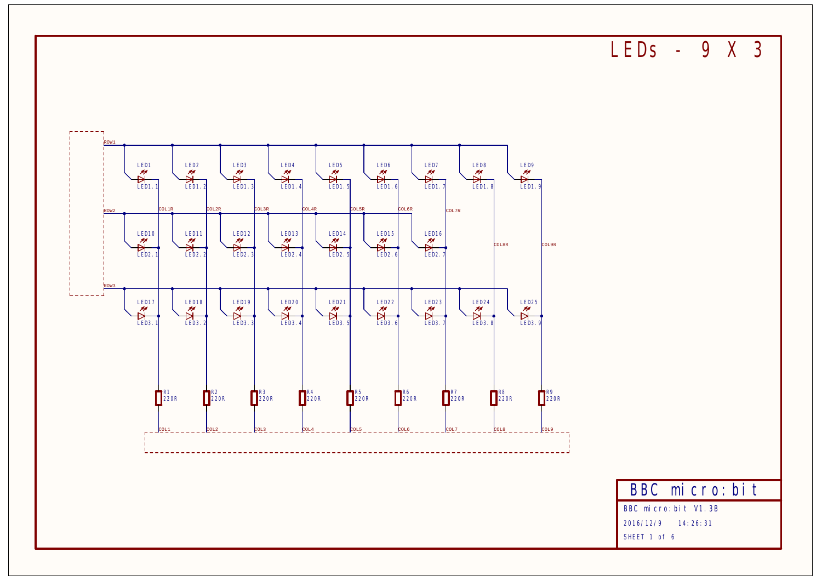**LEDs - 9 X 3**

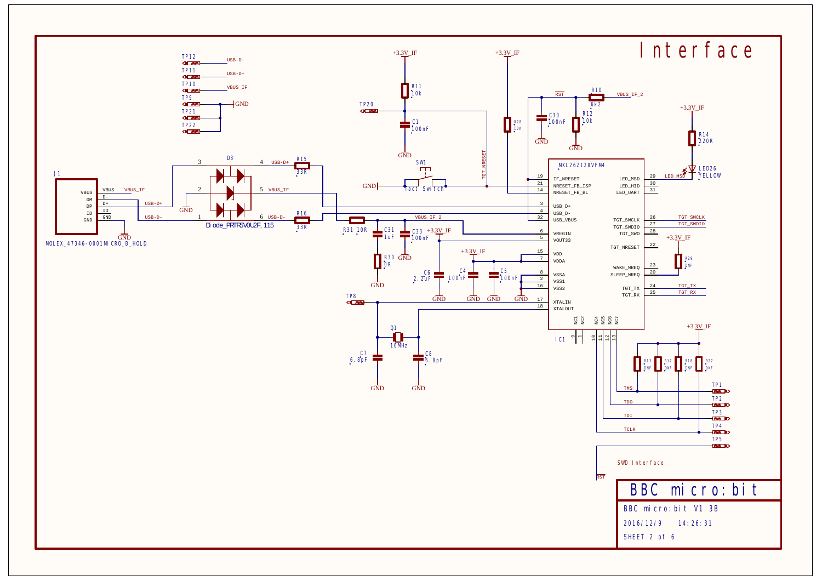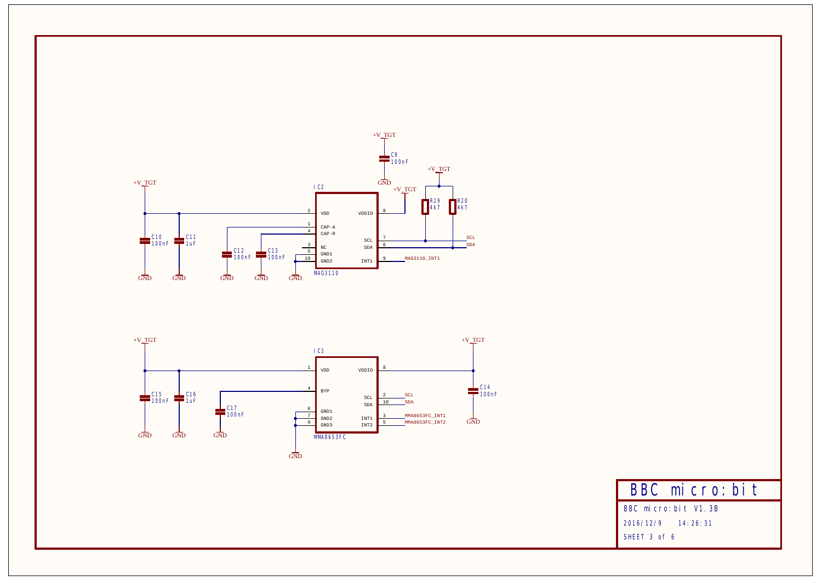



**BBC micro:bit**

**BBC micro:bit V1.3B**

**2016/12/9 14:26:31**

**SHEET 3 of 6**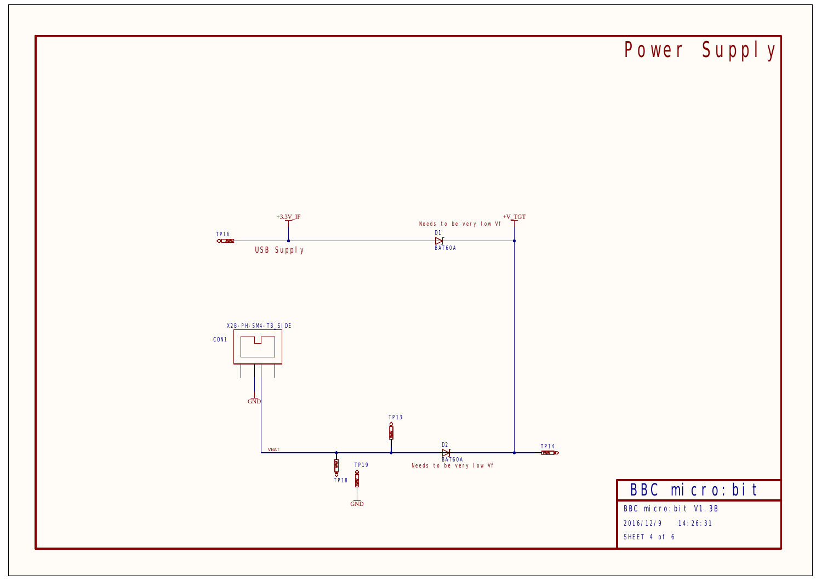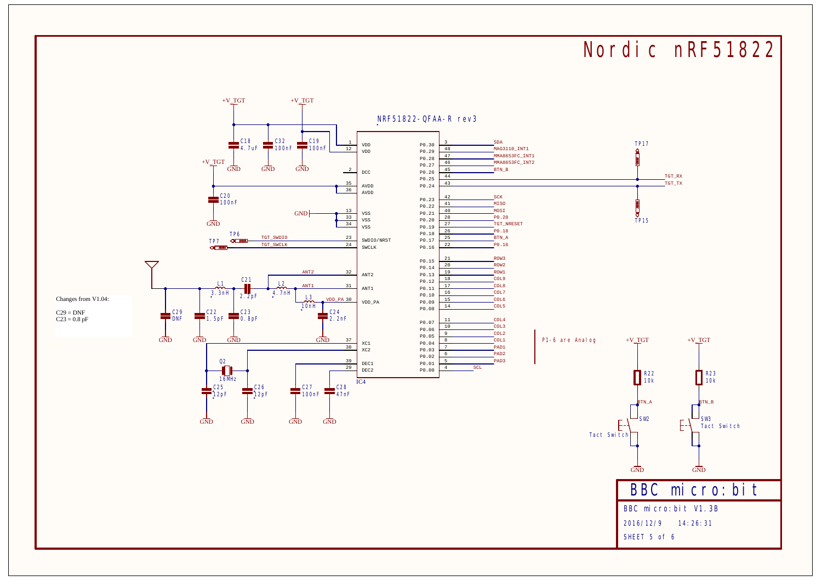## **Nordic nRF51822**